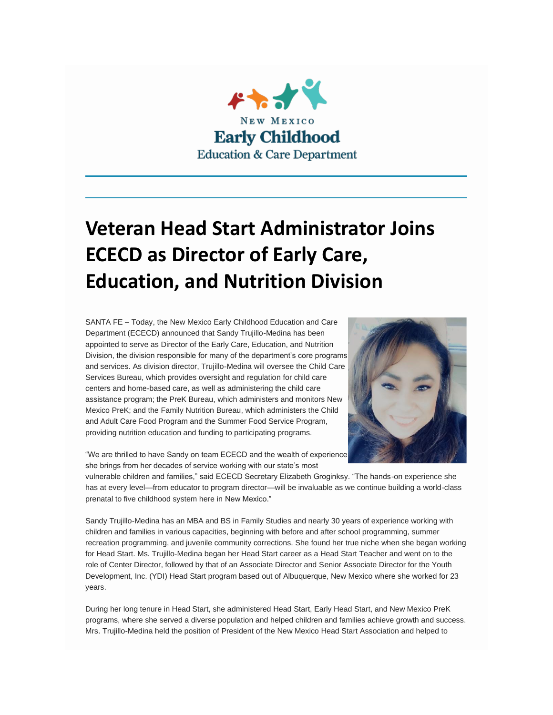

## **Veteran Head Start Administrator Joins ECECD as Director of Early Care, Education, and Nutrition Division**

SANTA FE – Today, the New Mexico Early Childhood Education and Care Department (ECECD) announced that Sandy Trujillo-Medina has been appointed to serve as Director of the Early Care, Education, and Nutrition Division, the division responsible for many of the department's core programs and services. As division director, Trujillo-Medina will oversee the Child Care Services Bureau, which provides oversight and regulation for child care centers and home-based care, as well as administering the child care assistance program; the PreK Bureau, which administers and monitors New Mexico PreK; and the Family Nutrition Bureau, which administers the Child and Adult Care Food Program and the Summer Food Service Program, providing nutrition education and funding to participating programs.



"We are thrilled to have Sandy on team ECECD and the wealth of experience she brings from her decades of service working with our state's most

vulnerable children and families," said ECECD Secretary Elizabeth Groginksy. "The hands-on experience she has at every level—from educator to program director—will be invaluable as we continue building a world-class prenatal to five childhood system here in New Mexico."

Sandy Trujillo-Medina has an MBA and BS in Family Studies and nearly 30 years of experience working with children and families in various capacities, beginning with before and after school programming, summer recreation programming, and juvenile community corrections. She found her true niche when she began working for Head Start. Ms. Trujillo-Medina began her Head Start career as a Head Start Teacher and went on to the role of Center Director, followed by that of an Associate Director and Senior Associate Director for the Youth Development, Inc. (YDI) Head Start program based out of Albuquerque, New Mexico where she worked for 23 years.

During her long tenure in Head Start, she administered Head Start, Early Head Start, and New Mexico PreK programs, where she served a diverse population and helped children and families achieve growth and success. Mrs. Trujillo-Medina held the position of President of the New Mexico Head Start Association and helped to